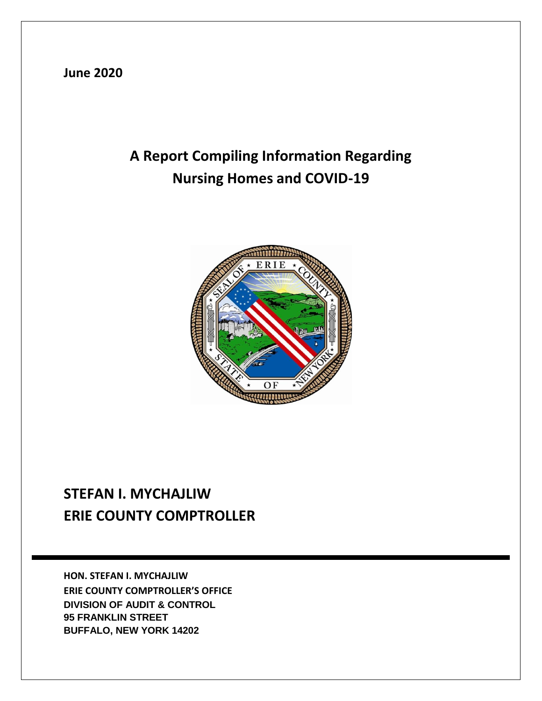**June 2020**

# **A Report Compiling Information Regarding Nursing Homes and COVID-19**



## **STEFAN I. MYCHAJLIW ERIE COUNTY COMPTROLLER**

**HON. STEFAN I. MYCHAJLIW ERIE COUNTY COMPTROLLER'S OFFICE DIVISION OF AUDIT & CONTROL 95 FRANKLIN STREET BUFFALO, NEW YORK 14202**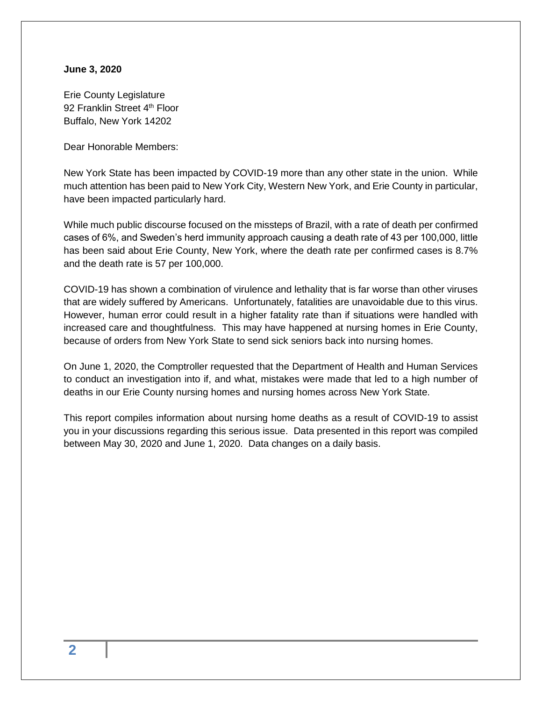#### **June 3, 2020**

Erie County Legislature 92 Franklin Street 4<sup>th</sup> Floor Buffalo, New York 14202

Dear Honorable Members:

New York State has been impacted by COVID-19 more than any other state in the union. While much attention has been paid to New York City, Western New York, and Erie County in particular, have been impacted particularly hard.

While much public discourse focused on the missteps of Brazil, with a rate of death per confirmed cases of 6%, and Sweden's herd immunity approach causing a death rate of 43 per 100,000, little has been said about Erie County, New York, where the death rate per confirmed cases is 8.7% and the death rate is 57 per 100,000.

COVID-19 has shown a combination of virulence and lethality that is far worse than other viruses that are widely suffered by Americans. Unfortunately, fatalities are unavoidable due to this virus. However, human error could result in a higher fatality rate than if situations were handled with increased care and thoughtfulness. This may have happened at nursing homes in Erie County, because of orders from New York State to send sick seniors back into nursing homes.

On June 1, 2020, the Comptroller requested that the Department of Health and Human Services to conduct an investigation into if, and what, mistakes were made that led to a high number of deaths in our Erie County nursing homes and nursing homes across New York State.

This report compiles information about nursing home deaths as a result of COVID-19 to assist you in your discussions regarding this serious issue. Data presented in this report was compiled between May 30, 2020 and June 1, 2020. Data changes on a daily basis.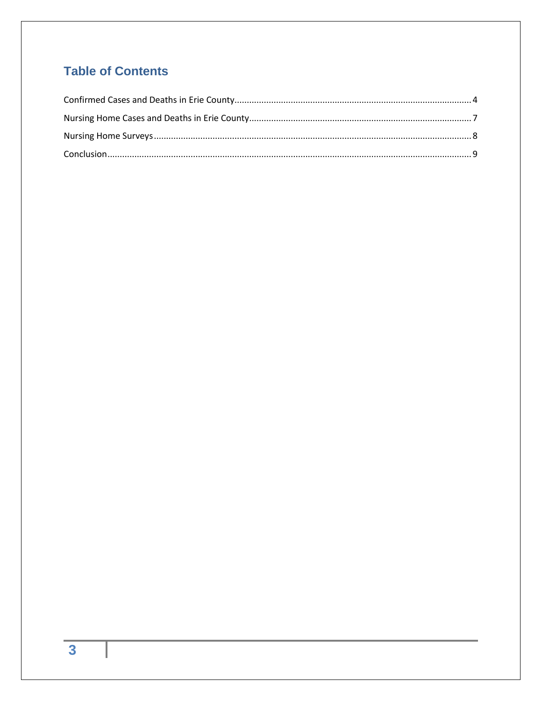## **Table of Contents**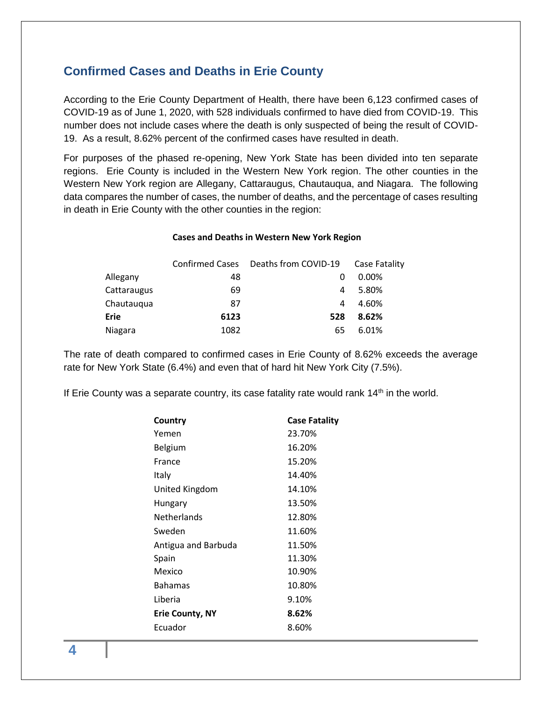### <span id="page-3-0"></span>**Confirmed Cases and Deaths in Erie County**

According to the Erie County Department of Health, there have been 6,123 confirmed cases of COVID-19 as of June 1, 2020, with 528 individuals confirmed to have died from COVID-19. This number does not include cases where the death is only suspected of being the result of COVID-19. As a result, 8.62% percent of the confirmed cases have resulted in death.

For purposes of the phased re-opening, New York State has been divided into ten separate regions. Erie County is included in the Western New York region. The other counties in the Western New York region are Allegany, Cattaraugus, Chautauqua, and Niagara. The following data compares the number of cases, the number of deaths, and the percentage of cases resulting in death in Erie County with the other counties in the region:

#### **Cases and Deaths in Western New York Region**

|             |      | Confirmed Cases Deaths from COVID-19 | Case Fatality |
|-------------|------|--------------------------------------|---------------|
| Allegany    | 48   | O                                    | 0.00%         |
| Cattaraugus | 69   | 4                                    | 5.80%         |
| Chautauqua  | 87   | 4                                    | 4.60%         |
| Erie        | 6123 | 528                                  | 8.62%         |
| Niagara     | 1082 | 65                                   | 6.01%         |

The rate of death compared to confirmed cases in Erie County of 8.62% exceeds the average rate for New York State (6.4%) and even that of hard hit New York City (7.5%).

If Erie County was a separate country, its case fatality rate would rank  $14<sup>th</sup>$  in the world.

| Country                | <b>Case Fatality</b> |
|------------------------|----------------------|
| Yemen                  | 23.70%               |
| Belgium                | 16.20%               |
| France                 | 15.20%               |
| Italy                  | 14.40%               |
| United Kingdom         | 14.10%               |
| Hungary                | 13.50%               |
| <b>Netherlands</b>     | 12.80%               |
| Sweden                 | 11.60%               |
| Antigua and Barbuda    | 11.50%               |
| Spain                  | 11.30%               |
| Mexico                 | 10.90%               |
| <b>Bahamas</b>         | 10.80%               |
| Liberia                | 9.10%                |
| <b>Erie County, NY</b> | 8.62%                |
| Ecuador                | 8.60%                |
|                        |                      |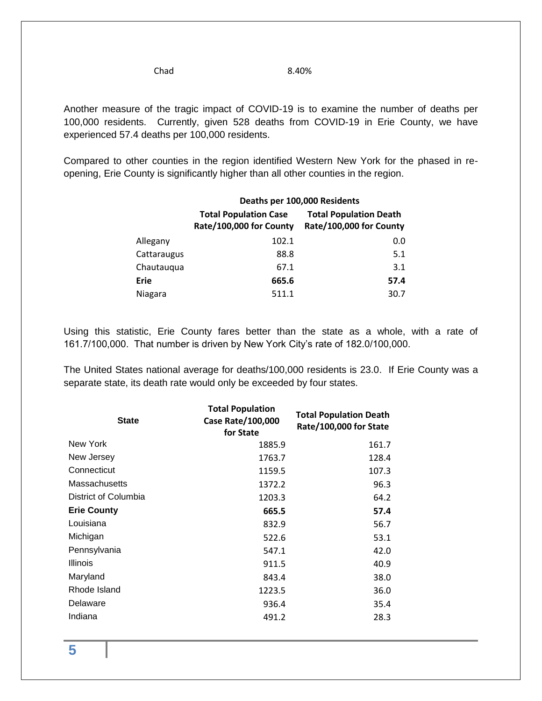Chad 8.40%

Another measure of the tragic impact of COVID-19 is to examine the number of deaths per 100,000 residents. Currently, given 528 deaths from COVID-19 in Erie County, we have experienced 57.4 deaths per 100,000 residents.

Compared to other counties in the region identified Western New York for the phased in reopening, Erie County is significantly higher than all other counties in the region.

|             | Deaths per 100,000 Residents                            |                                                          |  |
|-------------|---------------------------------------------------------|----------------------------------------------------------|--|
|             | <b>Total Population Case</b><br>Rate/100,000 for County | <b>Total Population Death</b><br>Rate/100,000 for County |  |
| Allegany    | 102.1                                                   | 0.0                                                      |  |
| Cattaraugus | 88.8                                                    | 5.1                                                      |  |
| Chautauqua  | 67.1                                                    | 3.1                                                      |  |
| Erie        | 665.6                                                   | 57.4                                                     |  |
| Niagara     | 511.1                                                   | 30.7                                                     |  |

Using this statistic, Erie County fares better than the state as a whole, with a rate of 161.7/100,000. That number is driven by New York City's rate of 182.0/100,000.

The United States national average for deaths/100,000 residents is 23.0. If Erie County was a separate state, its death rate would only be exceeded by four states.

| <b>State</b>         | <b>Total Population</b><br>Case Rate/100,000<br>for State | <b>Total Population Death</b><br>Rate/100,000 for State |
|----------------------|-----------------------------------------------------------|---------------------------------------------------------|
| New York             | 1885.9                                                    | 161.7                                                   |
| New Jersey           | 1763.7                                                    | 128.4                                                   |
| Connecticut          | 1159.5                                                    | 107.3                                                   |
| <b>Massachusetts</b> | 1372.2                                                    | 96.3                                                    |
| District of Columbia | 1203.3                                                    | 64.2                                                    |
| <b>Erie County</b>   | 665.5                                                     | 57.4                                                    |
| Louisiana            | 832.9                                                     | 56.7                                                    |
| Michigan             | 522.6                                                     | 53.1                                                    |
| Pennsylvania         | 547.1                                                     | 42.0                                                    |
| <b>Illinois</b>      | 911.5                                                     | 40.9                                                    |
| Maryland             | 843.4                                                     | 38.0                                                    |
| Rhode Island         | 1223.5                                                    | 36.0                                                    |
| Delaware             | 936.4                                                     | 35.4                                                    |
| Indiana              | 491.2                                                     | 28.3                                                    |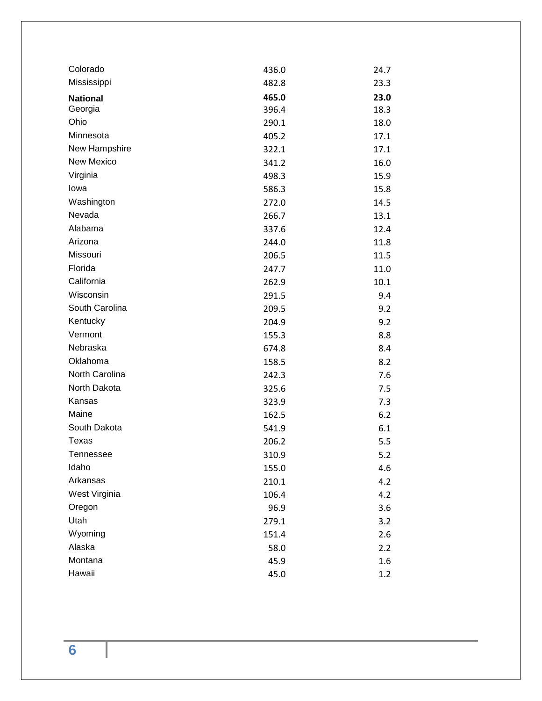| Colorado          | 436.0 | 24.7 |
|-------------------|-------|------|
| Mississippi       | 482.8 | 23.3 |
| <b>National</b>   | 465.0 | 23.0 |
| Georgia           | 396.4 | 18.3 |
| Ohio              | 290.1 | 18.0 |
| Minnesota         | 405.2 | 17.1 |
| New Hampshire     | 322.1 | 17.1 |
| <b>New Mexico</b> | 341.2 | 16.0 |
| Virginia          | 498.3 | 15.9 |
| lowa              | 586.3 | 15.8 |
| Washington        | 272.0 | 14.5 |
| Nevada            | 266.7 | 13.1 |
| Alabama           | 337.6 | 12.4 |
| Arizona           | 244.0 | 11.8 |
| Missouri          | 206.5 | 11.5 |
| Florida           | 247.7 | 11.0 |
| California        | 262.9 | 10.1 |
| Wisconsin         | 291.5 | 9.4  |
| South Carolina    | 209.5 | 9.2  |
| Kentucky          | 204.9 | 9.2  |
| Vermont           | 155.3 | 8.8  |
| Nebraska          | 674.8 | 8.4  |
| Oklahoma          | 158.5 | 8.2  |
| North Carolina    | 242.3 | 7.6  |
| North Dakota      | 325.6 | 7.5  |
| Kansas            | 323.9 | 7.3  |
| Maine             | 162.5 | 6.2  |
| South Dakota      | 541.9 | 6.1  |
| Texas             | 206.2 | 5.5  |
| Tennessee         | 310.9 | 5.2  |
| Idaho             | 155.0 | 4.6  |
| Arkansas          | 210.1 | 4.2  |
| West Virginia     | 106.4 | 4.2  |
| Oregon            | 96.9  | 3.6  |
| Utah              | 279.1 | 3.2  |
| Wyoming           | 151.4 | 2.6  |
| Alaska            | 58.0  | 2.2  |
| Montana           | 45.9  | 1.6  |
| Hawaii            | 45.0  | 1.2  |

**6**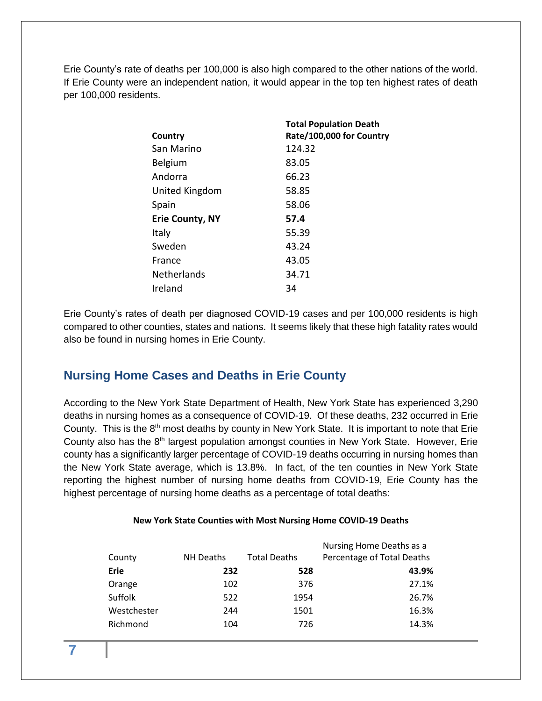Erie County's rate of deaths per 100,000 is also high compared to the other nations of the world. If Erie County were an independent nation, it would appear in the top ten highest rates of death per 100,000 residents.

|                        | <b>Total Population Death</b> |
|------------------------|-------------------------------|
| Country                | Rate/100,000 for Country      |
| San Marino             | 124.32                        |
| <b>Belgium</b>         | 83.05                         |
| Andorra                | 66.23                         |
| United Kingdom         | 58.85                         |
| Spain                  | 58.06                         |
| <b>Erie County, NY</b> | 57.4                          |
| Italy                  | 55.39                         |
| Sweden                 | 43.24                         |
| France                 | 43.05                         |
| <b>Netherlands</b>     | 34.71                         |
| Ireland                | 34                            |

Erie County's rates of death per diagnosed COVID-19 cases and per 100,000 residents is high compared to other counties, states and nations. It seems likely that these high fatality rates would also be found in nursing homes in Erie County.

### <span id="page-6-0"></span>**Nursing Home Cases and Deaths in Erie County**

According to the New York State Department of Health, New York State has experienced 3,290 deaths in nursing homes as a consequence of COVID-19. Of these deaths, 232 occurred in Erie County. This is the 8<sup>th</sup> most deaths by county in New York State. It is important to note that Erie County also has the  $8<sup>th</sup>$  largest population amongst counties in New York State. However, Erie county has a significantly larger percentage of COVID-19 deaths occurring in nursing homes than the New York State average, which is 13.8%. In fact, of the ten counties in New York State reporting the highest number of nursing home deaths from COVID-19, Erie County has the highest percentage of nursing home deaths as a percentage of total deaths:

#### **New York State Counties with Most Nursing Home COVID-19 Deaths**

| County      | <b>NH Deaths</b> | <b>Total Deaths</b> | Nursing Home Deaths as a<br>Percentage of Total Deaths |
|-------------|------------------|---------------------|--------------------------------------------------------|
| Erie        | 232              | 528                 | 43.9%                                                  |
| Orange      | 102              | 376                 | 27.1%                                                  |
| Suffolk     | 522              | 1954                | 26.7%                                                  |
| Westchester | 244              | 1501                | 16.3%                                                  |
| Richmond    | 104              | 726                 | 14.3%                                                  |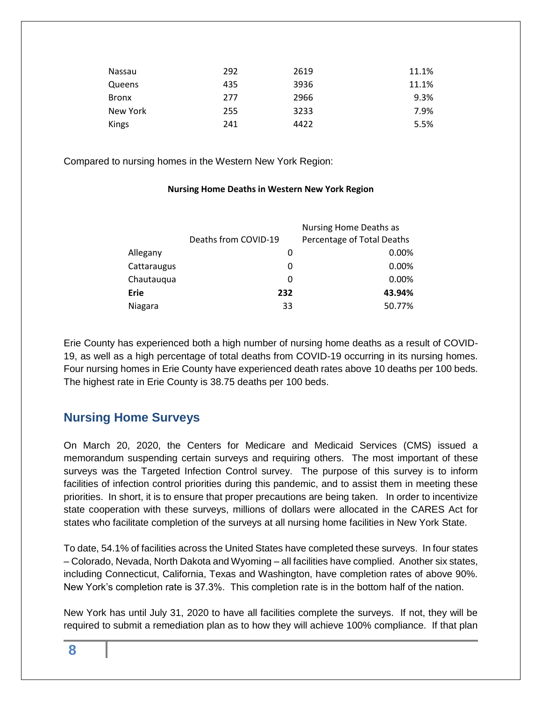| Nassau       | 292 | 2619 | 11.1% |
|--------------|-----|------|-------|
| Queens       | 435 | 3936 | 11.1% |
| <b>Bronx</b> | 277 | 2966 | 9.3%  |
| New York     | 255 | 3233 | 7.9%  |
| <b>Kings</b> | 241 | 4422 | 5.5%  |

Compared to nursing homes in the Western New York Region:

#### **Nursing Home Deaths in Western New York Region**

|             |                      | Nursing Home Deaths as     |
|-------------|----------------------|----------------------------|
|             | Deaths from COVID-19 | Percentage of Total Deaths |
| Allegany    | O                    | 0.00%                      |
| Cattaraugus | 0                    | 0.00%                      |
| Chautauqua  | 0                    | 0.00%                      |
| Erie        | 232                  | 43.94%                     |
| Niagara     | 33                   | 50.77%                     |
|             |                      |                            |

Erie County has experienced both a high number of nursing home deaths as a result of COVID-19, as well as a high percentage of total deaths from COVID-19 occurring in its nursing homes. Four nursing homes in Erie County have experienced death rates above 10 deaths per 100 beds. The highest rate in Erie County is 38.75 deaths per 100 beds.

### <span id="page-7-0"></span>**Nursing Home Surveys**

On March 20, 2020, the Centers for Medicare and Medicaid Services (CMS) issued a memorandum suspending certain surveys and requiring others. The most important of these surveys was the Targeted Infection Control survey. The purpose of this survey is to inform facilities of infection control priorities during this pandemic, and to assist them in meeting these priorities. In short, it is to ensure that proper precautions are being taken. In order to incentivize state cooperation with these surveys, millions of dollars were allocated in the CARES Act for states who facilitate completion of the surveys at all nursing home facilities in New York State.

To date, 54.1% of facilities across the United States have completed these surveys. In four states – Colorado, Nevada, North Dakota and Wyoming – all facilities have complied. Another six states, including Connecticut, California, Texas and Washington, have completion rates of above 90%. New York's completion rate is 37.3%. This completion rate is in the bottom half of the nation.

New York has until July 31, 2020 to have all facilities complete the surveys. If not, they will be required to submit a remediation plan as to how they will achieve 100% compliance. If that plan